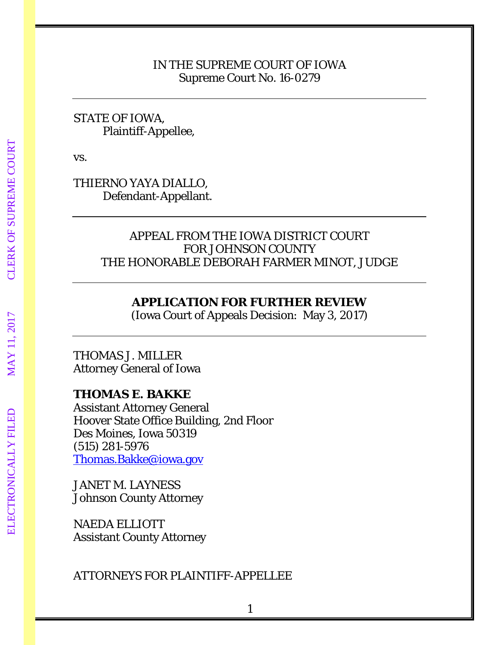## IN THE SUPREME COURT OF IOWA Supreme Court No. 16-0279

## STATE OF IOWA, Plaintiff-Appellee,

vs.

THIERNO YAYA DIALLO, Defendant-Appellant.

# APPEAL FROM THE IOWA DISTRICT COURT FOR JOHNSON COUNTY THE HONORABLE DEBORAH FARMER MINOT, JUDGE

# **APPLICATION FOR FURTHER REVIEW**

(Iowa Court of Appeals Decision: May 3, 2017)

# THOMAS J. MILLER Attorney General of Iowa

# **THOMAS E. BAKKE**

Assistant Attorney General Hoover State Office Building, 2nd Floor Des Moines, Iowa 50319 (515) 281-5976 [Thomas.Bakke@iowa.gov](mailto:Thomas.Bakke@iowa.gov)

JANET M. LAYNESS Johnson County Attorney

NAEDA ELLIOTT Assistant County Attorney

ATTORNEYS FOR PLAINTIFF-APPELLEE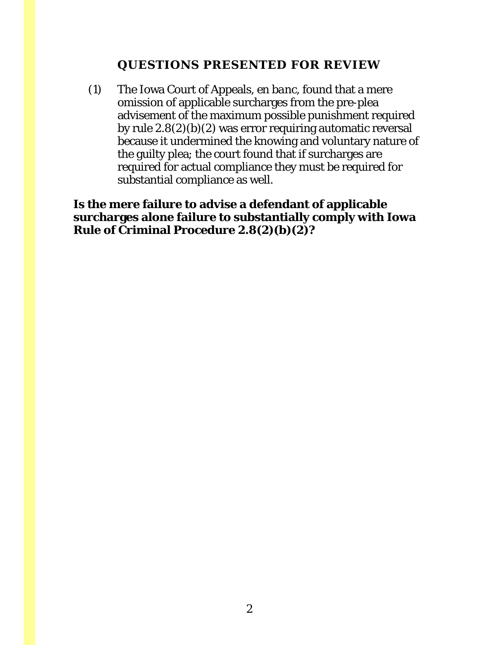# **QUESTIONS PRESENTED FOR REVIEW**

<span id="page-1-0"></span>(1) The Iowa Court of Appeals, *en banc*, found that a mere omission of applicable surcharges from the pre-plea advisement of the maximum possible punishment required by rule 2.8(2)(*b*)(2) was error requiring automatic reversal because it undermined the knowing and voluntary nature of the guilty plea; the court found that if surcharges are required for actual compliance they must be required for substantial compliance as well.

**Is the mere failure to advise a defendant of applicable surcharges alone failure to substantially comply with Iowa Rule of Criminal Procedure 2.8(2)(***b***)(2)?**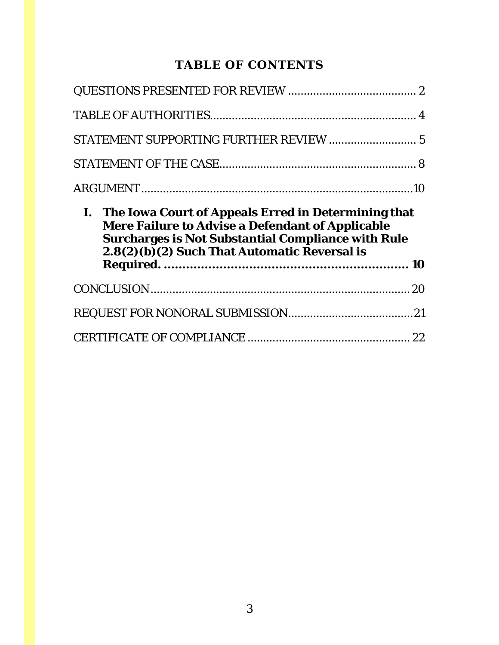# **TABLE OF CONTENTS**

| STATEMENT SUPPORTING FURTHER REVIEW  5                                                                                                                                                                                         |  |
|--------------------------------------------------------------------------------------------------------------------------------------------------------------------------------------------------------------------------------|--|
|                                                                                                                                                                                                                                |  |
|                                                                                                                                                                                                                                |  |
|                                                                                                                                                                                                                                |  |
| I. The Iowa Court of Appeals Erred in Determining that<br><b>Mere Failure to Advise a Defendant of Applicable</b><br><b>Surcharges is Not Substantial Compliance with Rule</b><br>2.8(2)(b)(2) Such That Automatic Reversal is |  |
|                                                                                                                                                                                                                                |  |
|                                                                                                                                                                                                                                |  |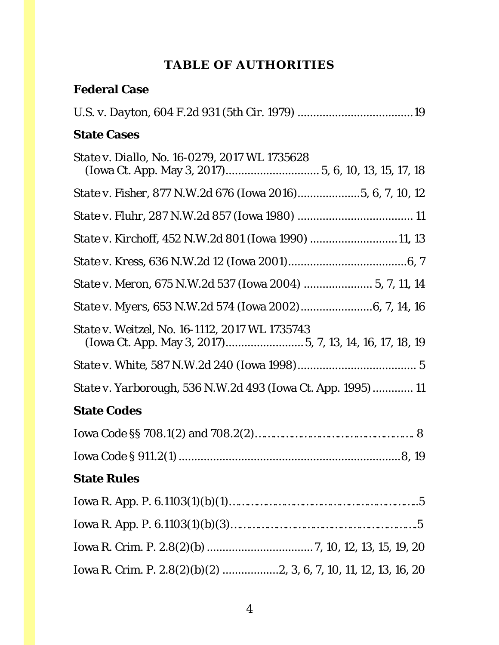# **TABLE OF AUTHORITIES**

# <span id="page-3-0"></span>**Federal Case**

| <b>State Cases</b>                                                                                         |
|------------------------------------------------------------------------------------------------------------|
| State v. Diallo, No. 16-0279, 2017 WL 1735628                                                              |
| State v. Fisher, 877 N.W.2d 676 (Iowa 2016)5, 6, 7, 10, 12                                                 |
|                                                                                                            |
| State v. Kirchoff, 452 N.W.2d 801 (Iowa 1990) 11, 13                                                       |
|                                                                                                            |
| State v. Meron, 675 N.W.2d 537 (Iowa 2004)  5, 7, 11, 14                                                   |
|                                                                                                            |
| State v. Weitzel, No. 16-1112, 2017 WL 1735743<br>(Iowa Ct. App. May 3, 2017) 5, 7, 13, 14, 16, 17, 18, 19 |
|                                                                                                            |
| <i>State v. Yarborough</i> , 536 N.W.2d 493 (Iowa Ct. App. 1995)  11                                       |
| <b>State Codes</b>                                                                                         |
|                                                                                                            |
|                                                                                                            |
| <b>State Rules</b>                                                                                         |
|                                                                                                            |
|                                                                                                            |
|                                                                                                            |
|                                                                                                            |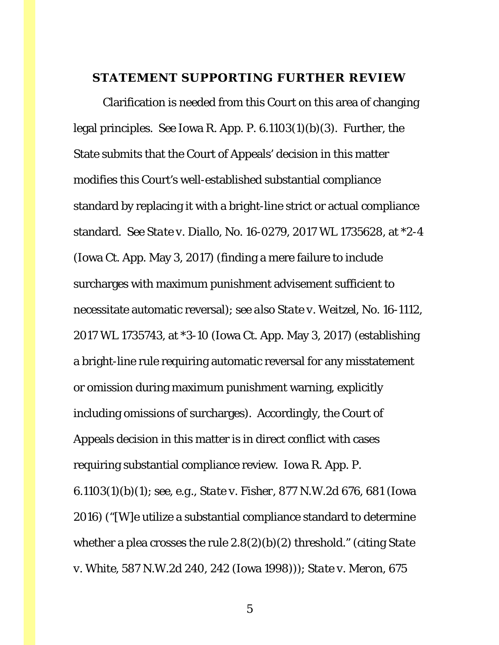## <span id="page-4-0"></span>**STATEMENT SUPPORTING FURTHER REVIEW**

Clarification is needed from this Court on this area of changing legal principles. *See* Iowa R. App. P. 6.1103(1)(*b*)(3). Further, the State submits that the Court of Appeals' decision in this matter modifies this Court's well-established substantial compliance standard by replacing it with a bright-line strict or actual compliance standard. *See State v. Diallo*, No. 16-0279, 2017 WL 1735628, at \*2-4 (Iowa Ct. App. May 3, 2017) (finding a mere failure to include surcharges with maximum punishment advisement sufficient to necessitate automatic reversal); *see also State v. Weitzel*, No. 16-1112, 2017 WL 1735743, at \*3-10 (Iowa Ct. App. May 3, 2017) (establishing a bright-line rule requiring automatic reversal for any misstatement or omission during maximum punishment warning, explicitly including omissions of surcharges). Accordingly, the Court of Appeals decision in this matter is in direct conflict with cases requiring substantial compliance review. Iowa R. App. P. 6.1103(1)(*b*)(1); *see, e.g.*, *State v. Fisher*, 877 N.W.2d 676, 681 (Iowa 2016) ("[W]e utilize a substantial compliance standard to determine whether a plea crosses the rule 2.8(2)(*b*)(2) threshold." (citing *State v. White*, 587 N.W.2d 240, 242 (Iowa 1998))); *State v. Meron*, 675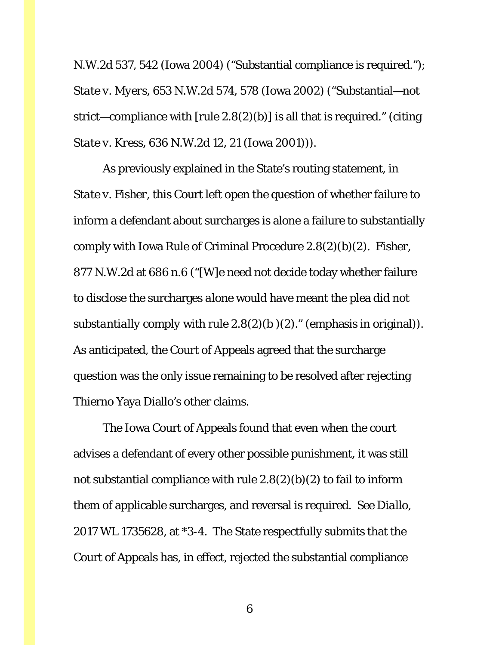N.W.2d 537, 542 (Iowa 2004) ("Substantial compliance is required."); *State v. Myers*, 653 N.W.2d 574, 578 (Iowa 2002) ("Substantial—not strict—compliance with  $[\text{rule } 2.8(2)(b)]$  is all that is required." (citing *State v. Kress*, 636 N.W.2d 12, 21 (Iowa 2001))).

As previously explained in the State's routing statement, in *State v. Fisher*, this Court left open the question of whether failure to inform a defendant about surcharges is alone a failure to substantially comply with Iowa Rule of Criminal Procedure 2.8(2)(*b*)(2). *Fisher*, 877 N.W.2d at 686 n.6 ("[W]e need not decide today whether failure to disclose the surcharges *alone* would have meant the plea did not *substantially comply* with rule  $2.8(2)(b)(2)$ ." (emphasis in original)). As anticipated, the Court of Appeals agreed that the surcharge question was the only issue remaining to be resolved after rejecting Thierno Yaya Diallo's other claims.

The Iowa Court of Appeals found that even when the court advises a defendant of every other possible punishment, it was still not substantial compliance with rule 2.8(2)(*b*)(2) to fail to inform them of applicable surcharges, and reversal is required. *See Diallo*, 2017 WL 1735628, at \*3-4. The State respectfully submits that the Court of Appeals has, in effect, rejected the substantial compliance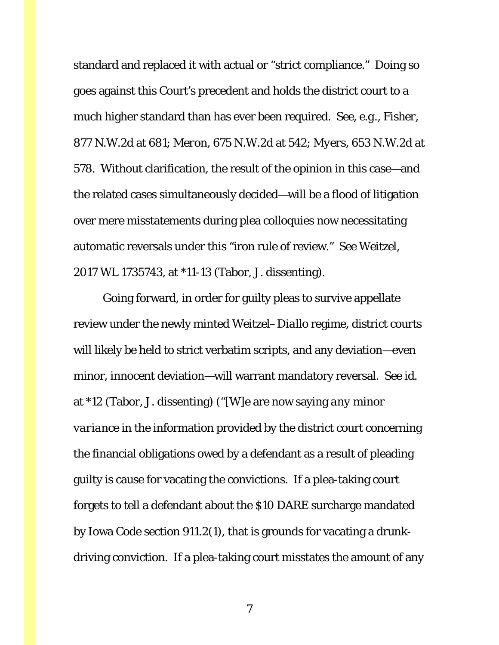standard and replaced it with actual or "strict compliance." Doing so goes against this Court's precedent and holds the district court to a much higher standard than has ever been required. *See, e.g.*, *Fisher*, 877 N.W.2d at 681; *Meron*, 675 N.W.2d at 542; *Myers*, 653 N.W.2d at 578. Without clarification, the result of the opinion in this case—and the related cases simultaneously decided—will be a flood of litigation over mere misstatements during plea colloquies now necessitating automatic reversals under this "iron rule of review." *See Weitzel*, 2017 WL 1735743, at \*11-13 (Tabor, J. dissenting).

Going forward, in order for guilty pleas to survive appellate review under the newly minted *Weitzel–Diallo* regime, district courts will likely be held to strict verbatim scripts, and any deviation—even minor, innocent deviation—will warrant mandatory reversal. *See id.*  at \*12 (Tabor, J. dissenting) ("[W]e are now saying *any minor variance* in the information provided by the district court concerning the financial obligations owed by a defendant as a result of pleading guilty is cause for vacating the convictions. If a plea-taking court forgets to tell a defendant about the \$10 DARE surcharge mandated by Iowa Code section 911.2(1), that is grounds for vacating a drunkdriving conviction. If a plea-taking court misstates the amount of any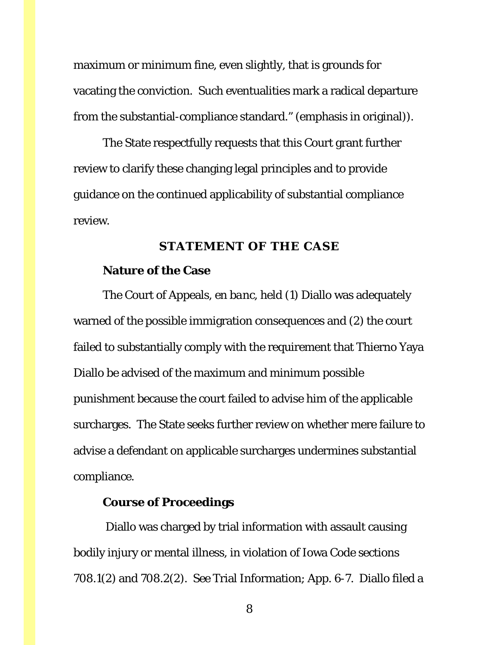maximum or minimum fine, even slightly, that is grounds for vacating the conviction. Such eventualities mark a radical departure from the substantial-compliance standard." (emphasis in original)).

The State respectfully requests that this Court grant further review to clarify these changing legal principles and to provide guidance on the continued applicability of substantial compliance review.

#### **STATEMENT OF THE CASE**

#### <span id="page-7-0"></span>**Nature of the Case**

The Court of Appeals, *en banc*, held (1) Diallo was adequately warned of the possible immigration consequences and (2) the court failed to substantially comply with the requirement that Thierno Yaya Diallo be advised of the maximum and minimum possible punishment because the court failed to advise him of the applicable surcharges. The State seeks further review on whether mere failure to advise a defendant on applicable surcharges undermines substantial compliance.

### **Course of Proceedings**

Diallo was charged by trial information with assault causing bodily injury or mental illness, in violation of Iowa Code sections 708.1(2) and 708.2(2). *See* Trial Information; App. 6-7. Diallo filed a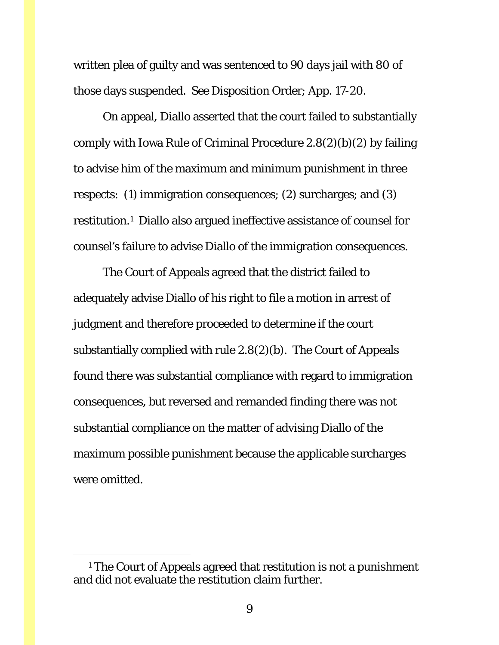written plea of guilty and was sentenced to 90 days jail with 80 of those days suspended. *See* Disposition Order; App. 17-20.

On appeal, Diallo asserted that the court failed to substantially comply with Iowa Rule of Criminal Procedure 2.8(2)(*b*)(2) by failing to advise him of the maximum and minimum punishment in three respects: (1) immigration consequences; (2) surcharges; and (3) restitution.[1](#page-8-0) Diallo also argued ineffective assistance of counsel for counsel's failure to advise Diallo of the immigration consequences.

The Court of Appeals agreed that the district failed to adequately advise Diallo of his right to file a motion in arrest of judgment and therefore proceeded to determine if the court substantially complied with rule 2.8(2)(*b*). The Court of Appeals found there was substantial compliance with regard to immigration consequences, but reversed and remanded finding there was not substantial compliance on the matter of advising Diallo of the maximum possible punishment because the applicable surcharges were omitted.

<span id="page-8-0"></span> <sup>1</sup> The Court of Appeals agreed that restitution is not a punishment and did not evaluate the restitution claim further.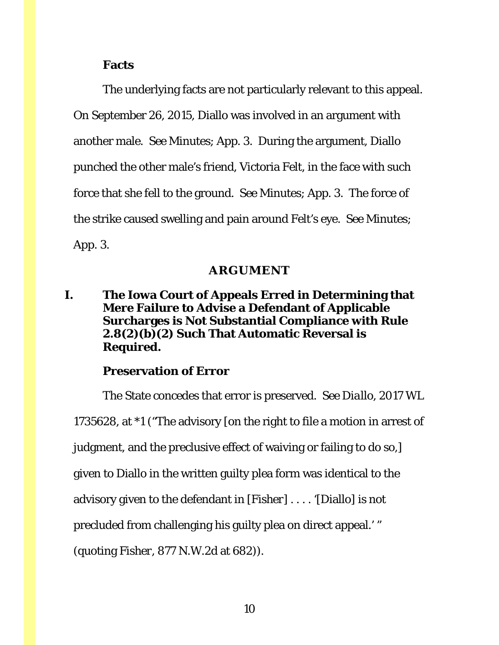#### **Facts**

The underlying facts are not particularly relevant to this appeal. On September 26, 2015, Diallo was involved in an argument with another male. *See* Minutes; App. 3. During the argument, Diallo punched the other male's friend, Victoria Felt, in the face with such force that she fell to the ground. *See* Minutes; App. 3. The force of the strike caused swelling and pain around Felt's eye. *See* Minutes; App. 3.

#### **ARGUMENT**

## <span id="page-9-1"></span><span id="page-9-0"></span>**I. The Iowa Court of Appeals Erred in Determining that Mere Failure to Advise a Defendant of Applicable Surcharges is Not Substantial Compliance with Rule 2.8(2)(***b***)(2) Such That Automatic Reversal is Required.**

#### **Preservation of Error**

The State concedes that error is preserved. *See Diallo*, 2017 WL 1735628, at \*1 ("The advisory [on the right to file a motion in arrest of judgment, and the preclusive effect of waiving or failing to do so,] given to Diallo in the written guilty plea form was identical to the advisory given to the defendant in [*Fisher*] . . . . '[Diallo] is not precluded from challenging his guilty plea on direct appeal.' " (quoting *Fisher*, 877 N.W.2d at 682)).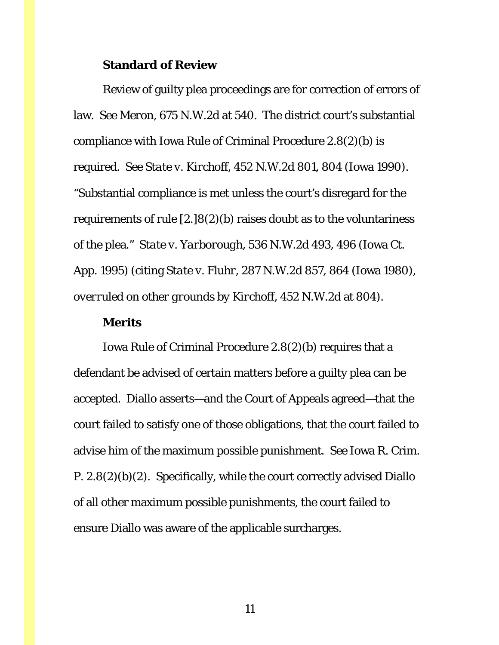#### **Standard of Review**

Review of guilty plea proceedings are for correction of errors of law. *See Meron*, 675 N.W.2d at 540. The district court's substantial compliance with Iowa Rule of Criminal Procedure 2.8(2)(*b*) is required. *See State v. Kirchoff*, 452 N.W.2d 801, 804 (Iowa 1990). "Substantial compliance is met unless the court's disregard for the requirements of rule [2.]8(2)(*b*) raises doubt as to the voluntariness of the plea." *State v. Yarborough*, 536 N.W.2d 493, 496 (Iowa Ct. App. 1995) (citing *State v. Fluhr*, 287 N.W.2d 857, 864 (Iowa 1980), *overruled on other grounds by Kirchoff*, 452 N.W.2d at 804).

#### **Merits**

Iowa Rule of Criminal Procedure 2.8(2)(*b*) requires that a defendant be advised of certain matters before a guilty plea can be accepted. Diallo asserts—and the Court of Appeals agreed—that the court failed to satisfy one of those obligations, that the court failed to advise him of the maximum possible punishment. *See* Iowa R. Crim. P. 2.8(2)(*b*)(2). Specifically, while the court correctly advised Diallo of all other maximum possible punishments, the court failed to ensure Diallo was aware of the applicable surcharges.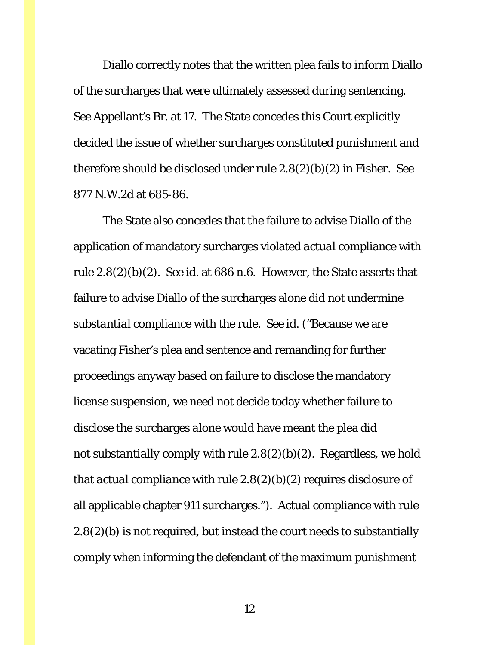Diallo correctly notes that the written plea fails to inform Diallo of the surcharges that were ultimately assessed during sentencing. *See* Appellant's Br. at 17. The State concedes this Court explicitly decided the issue of whether surcharges constituted punishment and therefore should be disclosed under rule 2.8(2)(*b*)(2) in *Fisher*. *See*  877 N.W.2d at 685-86.

The State also concedes that the failure to advise Diallo of the application of mandatory surcharges violated *actual* compliance with rule 2.8(2)(*b*)(2). *See id.* at 686 n.6. However, the State asserts that failure to advise Diallo of the surcharges alone did not undermine *substantial* compliance with the rule. *See id.* ("Because we are vacating Fisher's plea and sentence and remanding for further proceedings anyway based on failure to disclose the mandatory license suspension, we need not decide today whether failure to disclose the surcharges *alone* would have meant the plea did not *substantially comply* with rule 2.8(2)(*b*)(2). Regardless, we hold that *actual compliance* with rule 2.8(2)(*b*)(2) requires disclosure of all applicable chapter 911 surcharges."). Actual compliance with rule 2.8(2)(*b*) is not required, but instead the court needs to substantially comply when informing the defendant of the maximum punishment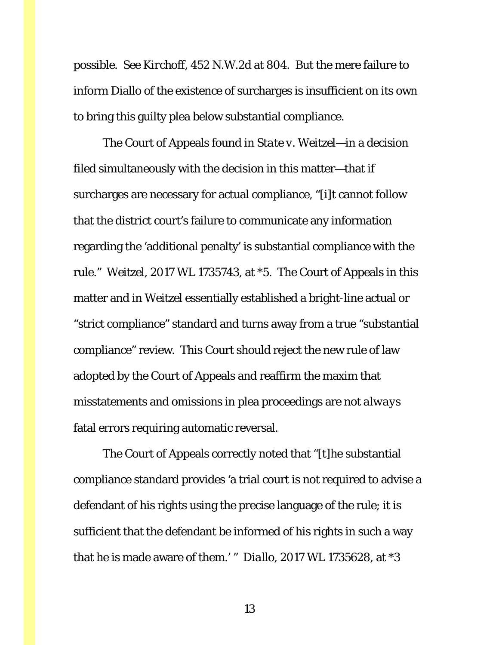possible. *See Kirchoff*, 452 N.W.2d at 804. But the mere failure to inform Diallo of the existence of surcharges is insufficient on its own to bring this guilty plea below substantial compliance.

The Court of Appeals found in *State v. Weitzel*—in a decision filed simultaneously with the decision in this matter—that if surcharges are necessary for actual compliance, "[i]t cannot follow that the district court's failure to communicate any information regarding the 'additional penalty' is substantial compliance with the rule." *Weitzel*, 2017 WL 1735743, at \*5. The Court of Appeals in this matter and in *Weitzel* essentially established a bright-line actual or "strict compliance" standard and turns away from a true "substantial compliance" review. This Court should reject the new rule of law adopted by the Court of Appeals and reaffirm the maxim that misstatements and omissions in plea proceedings are not *always* fatal errors requiring automatic reversal.

The Court of Appeals correctly noted that "[t]he substantial compliance standard provides 'a trial court is not required to advise a defendant of his rights using the precise language of the rule; it is sufficient that the defendant be informed of his rights in such a way that he is made aware of them.' " *Diallo*, 2017 WL 1735628, at \*3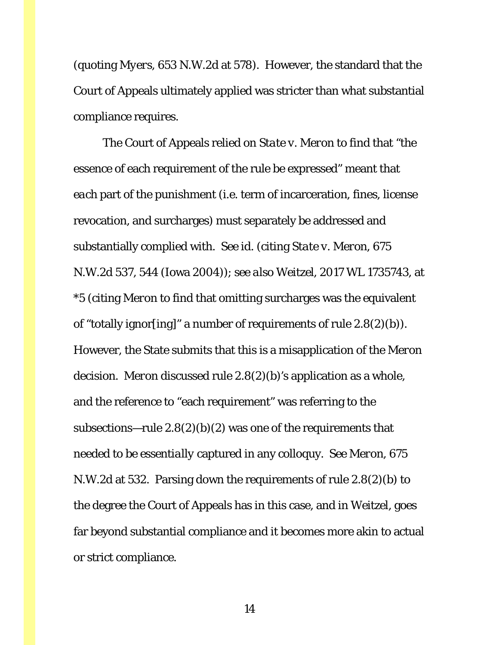(quoting *Myers*, 653 N.W.2d at 578). However, the standard that the Court of Appeals ultimately applied was stricter than what substantial compliance requires.

The Court of Appeals relied on *State v. Meron* to find that "the essence of each requirement of the rule be expressed" meant that *each* part of the punishment (i.e. term of incarceration, fines, license revocation, and surcharges) must separately be addressed and substantially complied with. *See id.* (citing *State v. Meron*, 675 N.W.2d 537, 544 (Iowa 2004)); *see also Weitzel*, 2017 WL 1735743, at \*5 (citing *Meron* to find that omitting surcharges was the equivalent of "totally ignor[ing]" a number of requirements of rule 2.8(2)(*b*)). However, the State submits that this is a misapplication of the *Meron* decision. *Meron* discussed rule 2.8(2)(*b*)'s application as a whole, and the reference to "each requirement" was referring to the subsections—rule  $2.8(2)(b)(2)$  was one of the requirements that needed to be *essentially* captured in any colloquy. *See Meron*, 675 N.W.2d at 532. Parsing down the requirements of rule 2.8(2)(*b*) to the degree the Court of Appeals has in this case, and in *Weitzel*, goes far beyond substantial compliance and it becomes more akin to actual or strict compliance.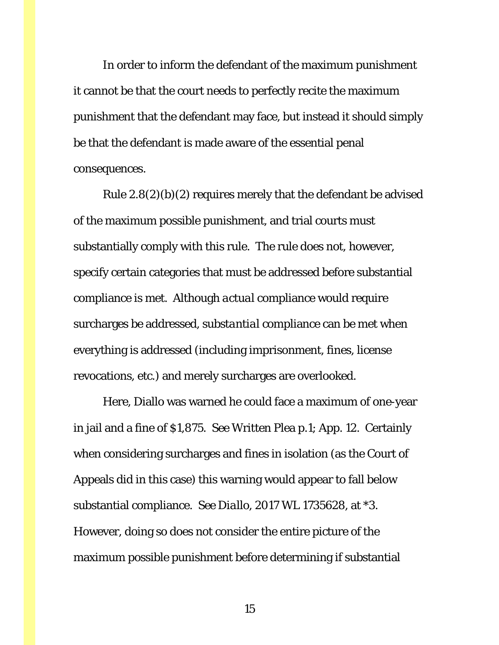In order to inform the defendant of the maximum punishment it cannot be that the court needs to perfectly recite the maximum punishment that the defendant may face, but instead it should simply be that the defendant is made aware of the essential penal consequences.

Rule  $2.8(2)(b)(2)$  requires merely that the defendant be advised of the maximum possible punishment, and trial courts must substantially comply with this rule. The rule does not, however, specify certain categories that must be addressed before substantial compliance is met. Although *actual* compliance would require surcharges be addressed, *substantial* compliance can be met when everything is addressed (including imprisonment, fines, license revocations, etc.) and merely surcharges are overlooked.

Here, Diallo was warned he could face a maximum of one-year in jail and a fine of \$1,875. *See* Written Plea p.1; App. 12. Certainly when considering surcharges and fines in isolation (as the Court of Appeals did in this case) this warning would appear to fall below substantial compliance. *See Diallo*, 2017 WL 1735628, at \*3. However, doing so does not consider the entire picture of the maximum possible punishment before determining if substantial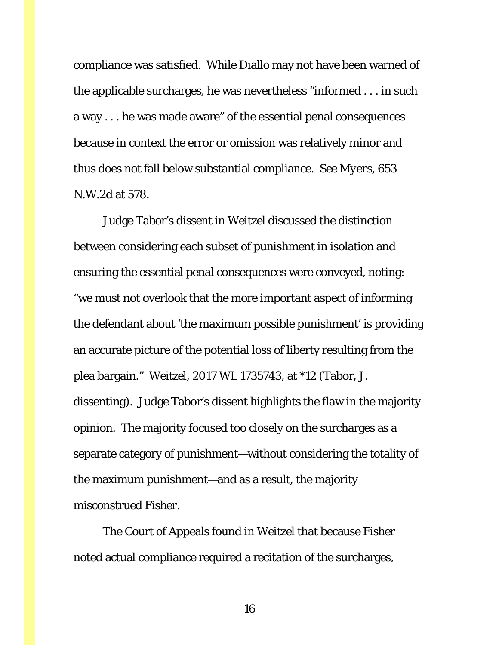compliance was satisfied. While Diallo may not have been warned of the applicable surcharges, he was nevertheless "informed . . . in such a way . . . he was made aware" of the essential penal consequences because in context the error or omission was relatively minor and thus does not fall below substantial compliance. *See Myers*, 653 N.W.2d at 578.

Judge Tabor's dissent in *Weitzel* discussed the distinction between considering each subset of punishment in isolation and ensuring the essential penal consequences were conveyed, noting: "we must not overlook that the more important aspect of informing the defendant about 'the maximum possible punishment' is providing an accurate picture of the potential loss of liberty resulting from the plea bargain." *Weitzel*, 2017 WL 1735743, at \*12 (Tabor, J. dissenting). Judge Tabor's dissent highlights the flaw in the majority opinion. The majority focused too closely on the surcharges as a separate category of punishment—without considering the totality of the maximum punishment—and as a result, the majority misconstrued *Fisher*.

The Court of Appeals found in *Weitzel* that because *Fisher* noted actual compliance required a recitation of the surcharges,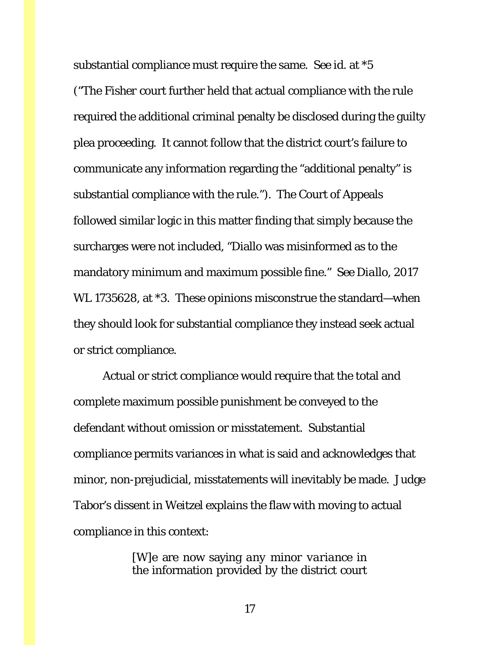substantial compliance must require the same. *See id.* at \*5 ("The *Fisher* court further held that actual compliance with the rule required the additional criminal penalty be disclosed during the guilty plea proceeding. It cannot follow that the district court's failure to communicate any information regarding the "additional penalty" is substantial compliance with the rule."). The Court of Appeals followed similar logic in this matter finding that simply because the surcharges were not included, "Diallo was misinformed as to the mandatory minimum and maximum possible fine." *See Diallo*, 2017 WL 1735628, at \*3. These opinions misconstrue the standard—when they should look for substantial compliance they instead seek actual or strict compliance.

Actual or strict compliance would require that the total and complete maximum possible punishment be conveyed to the defendant without omission or misstatement. Substantial compliance permits variances in what is said and acknowledges that minor, non-prejudicial, misstatements will inevitably be made. Judge Tabor's dissent in *Weitzel* explains the flaw with moving to actual compliance in this context:

> [W]e are now saying *any minor variance* in the information provided by the district court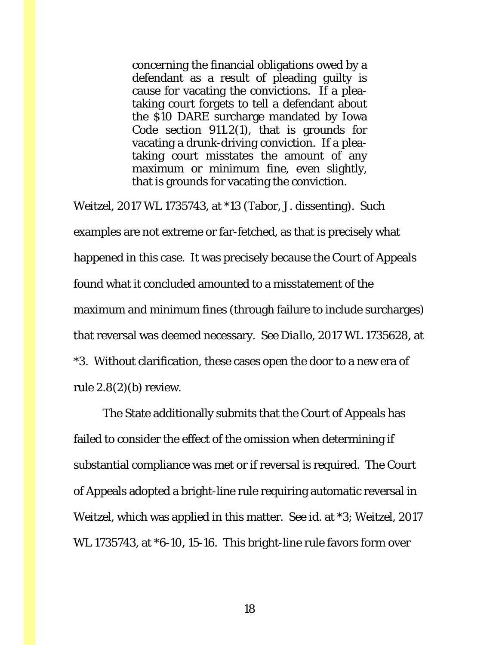concerning the financial obligations owed by a defendant as a result of pleading guilty is cause for vacating the convictions. If a pleataking court forgets to tell a defendant about the \$10 DARE surcharge mandated by Iowa Code section 911.2(1), that is grounds for vacating a drunk-driving conviction. If a pleataking court misstates the amount of any maximum or minimum fine, even slightly, that is grounds for vacating the conviction.

*Weitzel*, 2017 WL 1735743, at \*13 (Tabor, J. dissenting). Such examples are not extreme or far-fetched, as that is precisely what happened in this case. It was precisely because the Court of Appeals found what it concluded amounted to a misstatement of the maximum and minimum fines (through failure to include surcharges) that reversal was deemed necessary. *See Diallo*, 2017 WL 1735628, at \*3. Without clarification, these cases open the door to a new era of rule 2.8(2)(*b*) review.

The State additionally submits that the Court of Appeals has failed to consider the effect of the omission when determining if substantial compliance was met or if reversal is required. The Court of Appeals adopted a bright-line rule requiring automatic reversal in *Weitzel*, which was applied in this matter. *See id.* at \*3; *Weitzel*, 2017 WL 1735743, at \*6-10, 15-16. This bright-line rule favors form over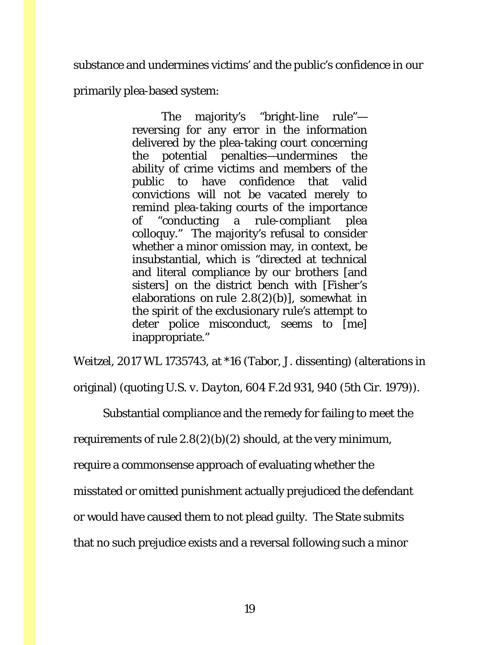substance and undermines victims' and the public's confidence in our

primarily plea-based system:

The majority's "bright-line rule" reversing for any error in the information delivered by the plea-taking court concerning the potential penalties—undermines the ability of crime victims and members of the public to have confidence that valid convictions will not be vacated merely to remind plea-taking courts of the importance of "conducting a rule-compliant plea colloquy." The majority's refusal to consider whether a minor omission may, in context, be insubstantial, which is "directed at technical and literal compliance by our brothers [and sisters] on the district bench with [*Fisher*'s elaborations on rule 2.8(2)(*b*)], somewhat in the spirit of the exclusionary rule's attempt to deter police misconduct, seems to [me] inappropriate."

*Weitzel*, 2017 WL 1735743, at \*16 (Tabor, J. dissenting) (alterations in

original) (quoting *U.S. v. Dayton*, 604 F.2d 931, 940 (5th Cir. 1979)).

Substantial compliance and the remedy for failing to meet the

requirements of rule  $2.8(2)(b)(2)$  should, at the very minimum,

require a commonsense approach of evaluating whether the

misstated or omitted punishment actually prejudiced the defendant

or would have caused them to not plead guilty. The State submits

that no such prejudice exists and a reversal following such a minor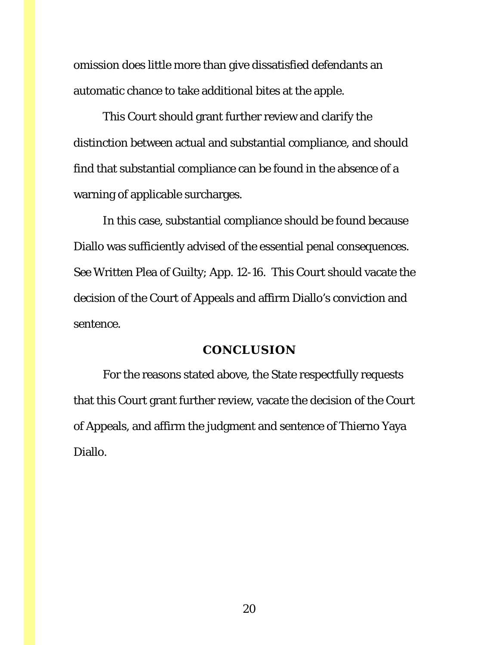omission does little more than give dissatisfied defendants an automatic chance to take additional bites at the apple.

This Court should grant further review and clarify the distinction between actual and substantial compliance, and should find that substantial compliance can be found in the absence of a warning of applicable surcharges.

In this case, substantial compliance should be found because Diallo was sufficiently advised of the essential penal consequences. *See* Written Plea of Guilty; App. 12-16. This Court should vacate the decision of the Court of Appeals and affirm Diallo's conviction and sentence.

#### **CONCLUSION**

<span id="page-19-0"></span>For the reasons stated above, the State respectfully requests that this Court grant further review, vacate the decision of the Court of Appeals, and affirm the judgment and sentence of Thierno Yaya Diallo.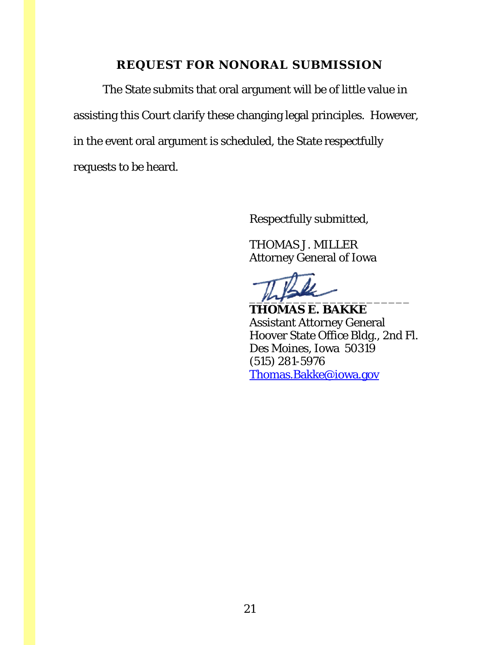## **REQUEST FOR NONORAL SUBMISSION**

<span id="page-20-0"></span>The State submits that oral argument will be of little value in assisting this Court clarify these changing legal principles. However, in the event oral argument is scheduled, the State respectfully requests to be heard.

Respectfully submitted,

THOMAS J. MILLER Attorney General of Iowa

 $m_{\uparrow}$ 

**THOMAS E. BAKKE** Assistant Attorney General Hoover State Office Bldg., 2nd Fl. Des Moines, Iowa 50319 (515) 281-5976 [Thomas.Bakke@iowa.gov](mailto:Thomas.Bakke@iowa.gov)